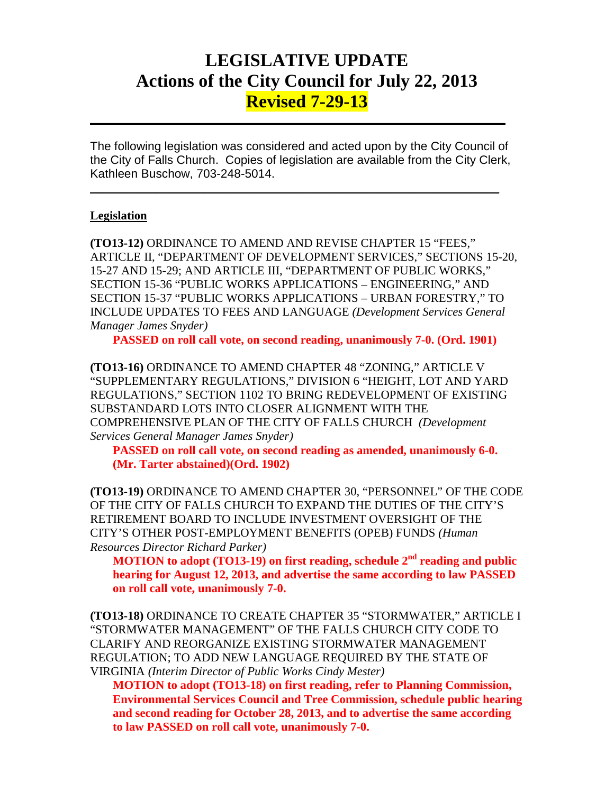# **LEGISLATIVE UPDATE Actions of the City Council for July 22, 2013 Revised 7-29-13**

The following legislation was considered and acted upon by the City Council of the City of Falls Church. Copies of legislation are available from the City Clerk, Kathleen Buschow, 703-248-5014.

 $\mathcal{L}_\text{max}$  and  $\mathcal{L}_\text{max}$  and  $\mathcal{L}_\text{max}$  and  $\mathcal{L}_\text{max}$  and  $\mathcal{L}_\text{max}$  and  $\mathcal{L}_\text{max}$ 

 $\mathcal{L}_\text{max}$  and  $\mathcal{L}_\text{max}$  and  $\mathcal{L}_\text{max}$  and  $\mathcal{L}_\text{max}$  and  $\mathcal{L}_\text{max}$  and  $\mathcal{L}_\text{max}$ 

### **Legislation**

**(TO13-12)** ORDINANCE TO AMEND AND REVISE CHAPTER 15 "FEES," ARTICLE II, "DEPARTMENT OF DEVELOPMENT SERVICES," SECTIONS 15-20, 15-27 AND 15-29; AND ARTICLE III, "DEPARTMENT OF PUBLIC WORKS," SECTION 15-36 "PUBLIC WORKS APPLICATIONS – ENGINEERING," AND SECTION 15-37 "PUBLIC WORKS APPLICATIONS – URBAN FORESTRY," TO INCLUDE UPDATES TO FEES AND LANGUAGE *(Development Services General Manager James Snyder)*

**PASSED on roll call vote, on second reading, unanimously 7-0. (Ord. 1901)**

**(TO13-16)** ORDINANCE TO AMEND CHAPTER 48 "ZONING," ARTICLE V "SUPPLEMENTARY REGULATIONS," DIVISION 6 "HEIGHT, LOT AND YARD REGULATIONS," SECTION 1102 TO BRING REDEVELOPMENT OF EXISTING SUBSTANDARD LOTS INTO CLOSER ALIGNMENT WITH THE COMPREHENSIVE PLAN OF THE CITY OF FALLS CHURCH *(Development Services General Manager James Snyder)*

**PASSED on roll call vote, on second reading as amended, unanimously 6-0. (Mr. Tarter abstained)(Ord. 1902)**

**(TO13-19)** ORDINANCE TO AMEND CHAPTER 30, "PERSONNEL" OF THE CODE OF THE CITY OF FALLS CHURCH TO EXPAND THE DUTIES OF THE CITY'S RETIREMENT BOARD TO INCLUDE INVESTMENT OVERSIGHT OF THE CITY'S OTHER POST-EMPLOYMENT BENEFITS (OPEB) FUNDS *(Human Resources Director Richard Parker)*

**MOTION to adopt (TO13-19) on first reading, schedule 2nd reading and public hearing for August 12, 2013, and advertise the same according to law PASSED on roll call vote, unanimously 7-0.**

**(TO13-18)** ORDINANCE TO CREATE CHAPTER 35 "STORMWATER," ARTICLE I "STORMWATER MANAGEMENT" OF THE FALLS CHURCH CITY CODE TO CLARIFY AND REORGANIZE EXISTING STORMWATER MANAGEMENT REGULATION; TO ADD NEW LANGUAGE REQUIRED BY THE STATE OF VIRGINIA *(Interim Director of Public Works Cindy Mester)*

**MOTION to adopt (TO13-18) on first reading, refer to Planning Commission, Environmental Services Council and Tree Commission, schedule public hearing and second reading for October 28, 2013, and to advertise the same according to law PASSED on roll call vote, unanimously 7-0.**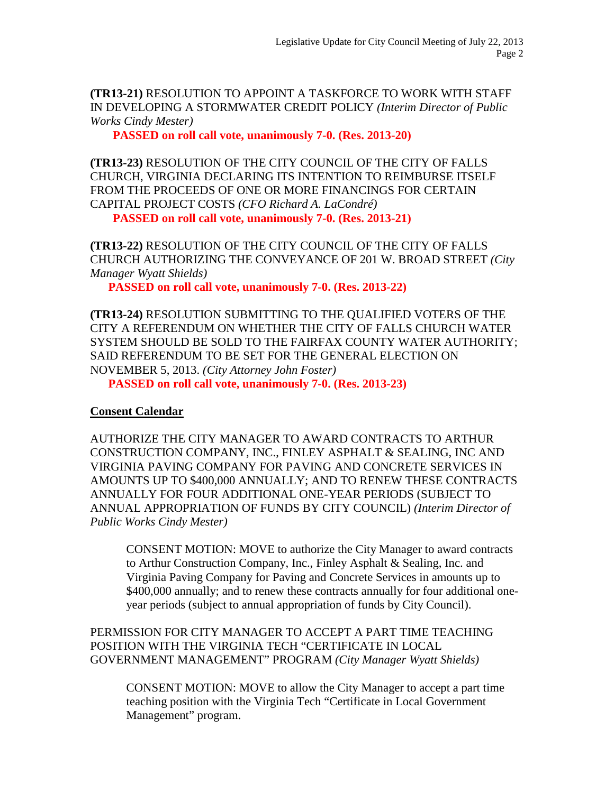**(TR13-21)** RESOLUTION TO APPOINT A TASKFORCE TO WORK WITH STAFF IN DEVELOPING A STORMWATER CREDIT POLICY *(Interim Director of Public Works Cindy Mester)*

**PASSED on roll call vote, unanimously 7-0. (Res. 2013-20)**

**(TR13-23)** RESOLUTION OF THE CITY COUNCIL OF THE CITY OF FALLS CHURCH, VIRGINIA DECLARING ITS INTENTION TO REIMBURSE ITSELF FROM THE PROCEEDS OF ONE OR MORE FINANCINGS FOR CERTAIN CAPITAL PROJECT COSTS *(CFO Richard A. LaCondré)*

**PASSED on roll call vote, unanimously 7-0. (Res. 2013-21)**

**(TR13-22)** RESOLUTION OF THE CITY COUNCIL OF THE CITY OF FALLS CHURCH AUTHORIZING THE CONVEYANCE OF 201 W. BROAD STREET *(City Manager Wyatt Shields)*

**PASSED on roll call vote, unanimously 7-0. (Res. 2013-22)**

**(TR13-24)** RESOLUTION SUBMITTING TO THE QUALIFIED VOTERS OF THE CITY A REFERENDUM ON WHETHER THE CITY OF FALLS CHURCH WATER SYSTEM SHOULD BE SOLD TO THE FAIRFAX COUNTY WATER AUTHORITY; SAID REFERENDUM TO BE SET FOR THE GENERAL ELECTION ON NOVEMBER 5, 2013. *(City Attorney John Foster)* **PASSED on roll call vote, unanimously 7-0. (Res. 2013-23)**

## **Consent Calendar**

AUTHORIZE THE CITY MANAGER TO AWARD CONTRACTS TO ARTHUR CONSTRUCTION COMPANY, INC., FINLEY ASPHALT & SEALING, INC AND VIRGINIA PAVING COMPANY FOR PAVING AND CONCRETE SERVICES IN AMOUNTS UP TO \$400,000 ANNUALLY; AND TO RENEW THESE CONTRACTS ANNUALLY FOR FOUR ADDITIONAL ONE-YEAR PERIODS (SUBJECT TO ANNUAL APPROPRIATION OF FUNDS BY CITY COUNCIL) *(Interim Director of Public Works Cindy Mester)*

CONSENT MOTION: MOVE to authorize the City Manager to award contracts to Arthur Construction Company, Inc., Finley Asphalt & Sealing, Inc. and Virginia Paving Company for Paving and Concrete Services in amounts up to \$400,000 annually; and to renew these contracts annually for four additional oneyear periods (subject to annual appropriation of funds by City Council).

PERMISSION FOR CITY MANAGER TO ACCEPT A PART TIME TEACHING POSITION WITH THE VIRGINIA TECH "CERTIFICATE IN LOCAL GOVERNMENT MANAGEMENT" PROGRAM *(City Manager Wyatt Shields)*

CONSENT MOTION: MOVE to allow the City Manager to accept a part time teaching position with the Virginia Tech "Certificate in Local Government Management" program.